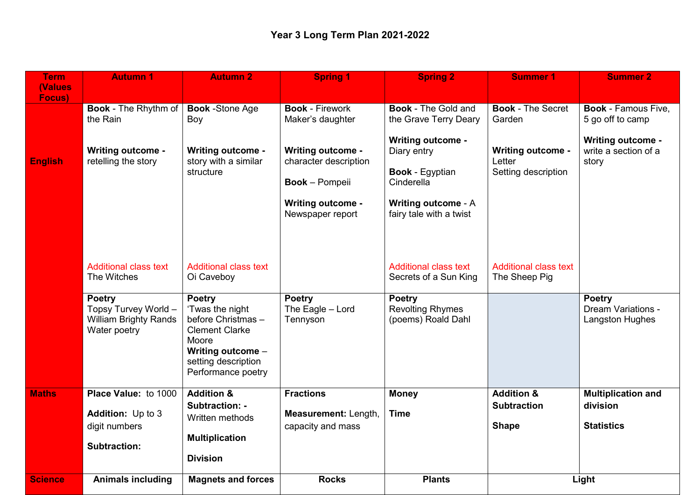| <b>Term</b>               | <b>Autumn 1</b>                                                                                                                      | <b>Autumn 2</b>                                                                                                                                                                                         | <b>Spring 1</b>                                                                                                                                                          | <b>Spring 2</b>                                                                                                                                                                                 | <b>Summer 1</b>                                                                                 | <b>Summer 2</b>                                                                                             |
|---------------------------|--------------------------------------------------------------------------------------------------------------------------------------|---------------------------------------------------------------------------------------------------------------------------------------------------------------------------------------------------------|--------------------------------------------------------------------------------------------------------------------------------------------------------------------------|-------------------------------------------------------------------------------------------------------------------------------------------------------------------------------------------------|-------------------------------------------------------------------------------------------------|-------------------------------------------------------------------------------------------------------------|
| <b>(Values)</b><br>Focus) |                                                                                                                                      |                                                                                                                                                                                                         |                                                                                                                                                                          |                                                                                                                                                                                                 |                                                                                                 |                                                                                                             |
| <b>English</b>            | <b>Book</b> - The Rhythm of<br>the Rain<br><b>Writing outcome -</b><br>retelling the story                                           | <b>Book</b> -Stone Age<br>Boy<br><b>Writing outcome -</b><br>story with a similar<br>structure                                                                                                          | <b>Book - Firework</b><br>Maker's daughter<br><b>Writing outcome -</b><br>character description<br><b>Book</b> – Pompeii<br><b>Writing outcome -</b><br>Newspaper report | <b>Book - The Gold and</b><br>the Grave Terry Deary<br><b>Writing outcome -</b><br>Diary entry<br><b>Book - Egyptian</b><br>Cinderella<br><b>Writing outcome - A</b><br>fairy tale with a twist | <b>Book - The Secret</b><br>Garden<br><b>Writing outcome -</b><br>Letter<br>Setting description | <b>Book - Famous Five.</b><br>5 go off to camp<br><b>Writing outcome -</b><br>write a section of a<br>story |
|                           | <b>Additional class text</b><br>The Witches<br><b>Poetry</b><br>Topsy Turvey World -<br><b>William Brighty Rands</b><br>Water poetry | <b>Additional class text</b><br>Oi Caveboy<br><b>Poetry</b><br>'Twas the night<br>before Christmas-<br><b>Clement Clarke</b><br>Moore<br>Writing outcome -<br>setting description<br>Performance poetry | <b>Poetry</b><br>The Eagle - Lord<br>Tennyson                                                                                                                            | <b>Additional class text</b><br>Secrets of a Sun King<br><b>Poetry</b><br><b>Revolting Rhymes</b><br>(poems) Roald Dahl                                                                         | <b>Additional class text</b><br>The Sheep Pig                                                   | <b>Poetry</b><br><b>Dream Variations -</b><br>Langston Hughes                                               |
| <b>Maths</b>              | Place Value: to 1000<br><b>Addition:</b> Up to 3<br>digit numbers<br><b>Subtraction:</b>                                             | <b>Addition &amp;</b><br>Subtraction: -<br>Written methods<br><b>Multiplication</b><br><b>Division</b>                                                                                                  | <b>Fractions</b><br>Measurement: Length,<br>capacity and mass                                                                                                            | <b>Money</b><br><b>Time</b>                                                                                                                                                                     | <b>Addition &amp;</b><br><b>Subtraction</b><br><b>Shape</b>                                     | <b>Multiplication and</b><br>division<br><b>Statistics</b>                                                  |
| <b>Science</b>            | <b>Animals including</b>                                                                                                             | <b>Magnets and forces</b>                                                                                                                                                                               | <b>Rocks</b>                                                                                                                                                             | <b>Plants</b>                                                                                                                                                                                   | Light                                                                                           |                                                                                                             |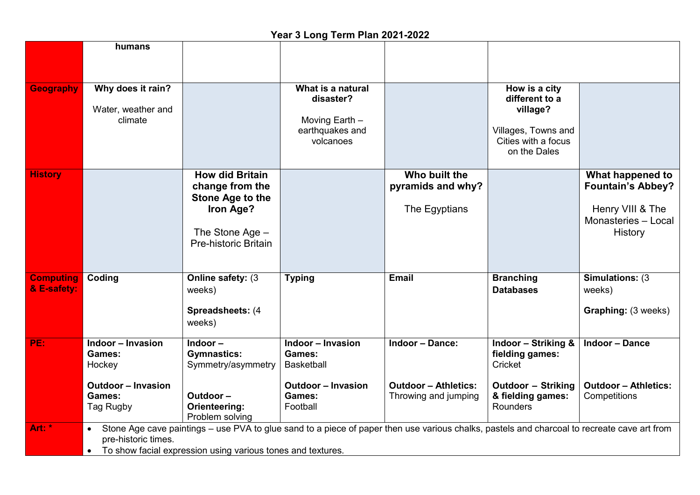|                                 | humans                                                                                                                                                                                                                                         |                                                                                                                       |                                                                                                                   |                                                                               |                                                                                                                                   |                                                                                                    |
|---------------------------------|------------------------------------------------------------------------------------------------------------------------------------------------------------------------------------------------------------------------------------------------|-----------------------------------------------------------------------------------------------------------------------|-------------------------------------------------------------------------------------------------------------------|-------------------------------------------------------------------------------|-----------------------------------------------------------------------------------------------------------------------------------|----------------------------------------------------------------------------------------------------|
| <b>Geography</b>                | Why does it rain?<br>Water, weather and<br>climate                                                                                                                                                                                             |                                                                                                                       | What is a natural<br>disaster?<br>Moving Earth -<br>earthquakes and<br>volcanoes                                  |                                                                               | How is a city<br>different to a<br>village?<br>Villages, Towns and<br>Cities with a focus<br>on the Dales                         |                                                                                                    |
| <b>History</b>                  |                                                                                                                                                                                                                                                | <b>How did Britain</b><br>change from the<br>Stone Age to the<br>Iron Age?<br>The Stone Age -<br>Pre-historic Britain |                                                                                                                   | Who built the<br>pyramids and why?<br>The Egyptians                           |                                                                                                                                   | What happened to<br><b>Fountain's Abbey?</b><br>Henry VIII & The<br>Monasteries - Local<br>History |
| <b>Computing</b><br>& E-safety: | Coding                                                                                                                                                                                                                                         | Online safety: (3<br>weeks)<br>Spreadsheets: (4<br>weeks)                                                             | <b>Typing</b>                                                                                                     | Email                                                                         | <b>Branching</b><br><b>Databases</b>                                                                                              | Simulations: (3)<br>weeks)<br><b>Graphing: (3 weeks)</b>                                           |
| PE:                             | <b>Indoor - Invasion</b><br><b>Games:</b><br>Hockey<br><b>Outdoor - Invasion</b><br><b>Games:</b><br>Tag Rugby                                                                                                                                 | Indoor-<br><b>Gymnastics:</b><br>Symmetry/asymmetry<br>Outdoor-<br>Orienteering:<br>Problem solving                   | <b>Indoor - Invasion</b><br><b>Games:</b><br><b>Basketball</b><br><b>Outdoor - Invasion</b><br>Games:<br>Football | <b>Indoor - Dance:</b><br><b>Outdoor - Athletics:</b><br>Throwing and jumping | <b>Indoor - Striking &amp;</b><br>fielding games:<br>Cricket<br><b>Outdoor - Striking</b><br>& fielding games:<br><b>Rounders</b> | <b>Indoor - Dance</b><br><b>Outdoor - Athletics:</b><br>Competitions                               |
| Art: *                          | Stone Age cave paintings – use PVA to glue sand to a piece of paper then use various chalks, pastels and charcoal to recreate cave art from<br>$\bullet$<br>pre-historic times.<br>To show facial expression using various tones and textures. |                                                                                                                       |                                                                                                                   |                                                                               |                                                                                                                                   |                                                                                                    |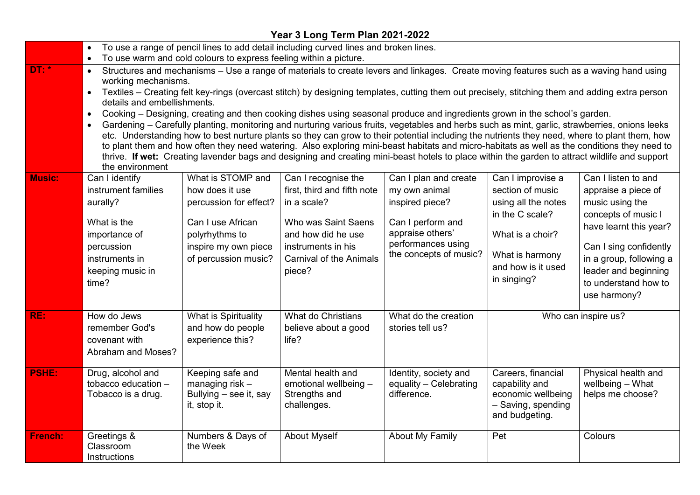## **Year 3 Long Term Plan 2021-2022**

|                | To use a range of pencil lines to add detail including curved lines and broken lines.                                                                                                                                                                                                                                                                                                                                                                                                                                                                                                                                                                                                                                                                                                                                                                                                                                                                                                                                                                                                                              |                                                                                                                                                       |                                                                                                                                                                                  |                                                                                                                                                    |                                                                                                                                                             |                                                                                                                                                                                                                                     |
|----------------|--------------------------------------------------------------------------------------------------------------------------------------------------------------------------------------------------------------------------------------------------------------------------------------------------------------------------------------------------------------------------------------------------------------------------------------------------------------------------------------------------------------------------------------------------------------------------------------------------------------------------------------------------------------------------------------------------------------------------------------------------------------------------------------------------------------------------------------------------------------------------------------------------------------------------------------------------------------------------------------------------------------------------------------------------------------------------------------------------------------------|-------------------------------------------------------------------------------------------------------------------------------------------------------|----------------------------------------------------------------------------------------------------------------------------------------------------------------------------------|----------------------------------------------------------------------------------------------------------------------------------------------------|-------------------------------------------------------------------------------------------------------------------------------------------------------------|-------------------------------------------------------------------------------------------------------------------------------------------------------------------------------------------------------------------------------------|
|                | To use warm and cold colours to express feeling within a picture.                                                                                                                                                                                                                                                                                                                                                                                                                                                                                                                                                                                                                                                                                                                                                                                                                                                                                                                                                                                                                                                  |                                                                                                                                                       |                                                                                                                                                                                  |                                                                                                                                                    |                                                                                                                                                             |                                                                                                                                                                                                                                     |
| <b>DT: *</b>   | Structures and mechanisms - Use a range of materials to create levers and linkages. Create moving features such as a waving hand using<br>working mechanisms.<br>Textiles – Creating felt key-rings (overcast stitch) by designing templates, cutting them out precisely, stitching them and adding extra person<br>details and embellishments.<br>Cooking – Designing, creating and then cooking dishes using seasonal produce and ingredients grown in the school's garden.<br>$\bullet$<br>Gardening – Carefully planting, monitoring and nurturing various fruits, vegetables and herbs such as mint, garlic, strawberries, onions leeks<br>etc. Understanding how to best nurture plants so they can grow to their potential including the nutrients they need, where to plant them, how<br>to plant them and how often they need watering. Also exploring mini-beast habitats and micro-habitats as well as the conditions they need to<br>thrive. If wet: Creating lavender bags and designing and creating mini-beast hotels to place within the garden to attract wildlife and support<br>the environment |                                                                                                                                                       |                                                                                                                                                                                  |                                                                                                                                                    |                                                                                                                                                             |                                                                                                                                                                                                                                     |
| <b>Music:</b>  | Can I identify<br>instrument families<br>aurally?<br>What is the<br>importance of<br>percussion<br>instruments in<br>keeping music in<br>time?                                                                                                                                                                                                                                                                                                                                                                                                                                                                                                                                                                                                                                                                                                                                                                                                                                                                                                                                                                     | What is STOMP and<br>how does it use<br>percussion for effect?<br>Can I use African<br>polyrhythms to<br>inspire my own piece<br>of percussion music? | Can I recognise the<br>first, third and fifth note<br>in a scale?<br>Who was Saint Saens<br>and how did he use<br>instruments in his<br><b>Carnival of the Animals</b><br>piece? | Can I plan and create<br>my own animal<br>inspired piece?<br>Can I perform and<br>appraise others'<br>performances using<br>the concepts of music? | Can I improvise a<br>section of music<br>using all the notes<br>in the C scale?<br>What is a choir?<br>What is harmony<br>and how is it used<br>in singing? | Can I listen to and<br>appraise a piece of<br>music using the<br>concepts of music I<br>have learnt this year?<br>Can I sing confidently<br>in a group, following a<br>leader and beginning<br>to understand how to<br>use harmony? |
| RE:            | How do Jews<br>remember God's<br>covenant with<br>Abraham and Moses?                                                                                                                                                                                                                                                                                                                                                                                                                                                                                                                                                                                                                                                                                                                                                                                                                                                                                                                                                                                                                                               | What is Spirituality<br>and how do people<br>experience this?                                                                                         | What do Christians<br>believe about a good<br>life?                                                                                                                              | What do the creation<br>stories tell us?                                                                                                           | Who can inspire us?                                                                                                                                         |                                                                                                                                                                                                                                     |
| <b>PSHE:</b>   | Drug, alcohol and<br>tobacco education -<br>Tobacco is a drug.                                                                                                                                                                                                                                                                                                                                                                                                                                                                                                                                                                                                                                                                                                                                                                                                                                                                                                                                                                                                                                                     | Keeping safe and<br>managing risk $-$<br>Bullying – see it, say<br>it, stop it.                                                                       | Mental health and<br>emotional wellbeing -<br>Strengths and<br>challenges.                                                                                                       | Identity, society and<br>equality - Celebrating<br>difference.                                                                                     | Careers, financial<br>capability and<br>economic wellbeing<br>- Saving, spending<br>and budgeting.                                                          | Physical health and<br>wellbeing - What<br>helps me choose?                                                                                                                                                                         |
| <b>French:</b> | Greetings &<br>Classroom<br>Instructions                                                                                                                                                                                                                                                                                                                                                                                                                                                                                                                                                                                                                                                                                                                                                                                                                                                                                                                                                                                                                                                                           | Numbers & Days of<br>the Week                                                                                                                         | <b>About Myself</b>                                                                                                                                                              | <b>About My Family</b>                                                                                                                             | Pet                                                                                                                                                         | Colours                                                                                                                                                                                                                             |